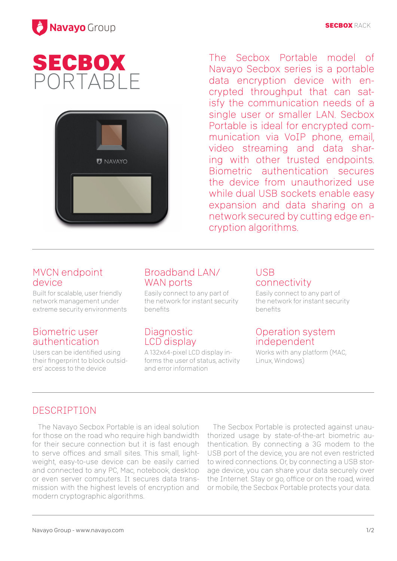

# **SECBOX** PORTABLE



The Secbox Portable model of Navayo Secbox series is a portable data encryption device with encrypted throughput that can satisfy the communication needs of a single user or smaller LAN. Secbox Portable is ideal for encrypted communication via VoIP phone, email, video streaming and data sharing with other trusted endpoints. Biometric authentication secures the device from unauthorized use while dual USB sockets enable easy expansion and data sharing on a network secured by cutting edge encryption algorithms.

#### MVCN endpoint device

Built for scalable, user friendly network management under extreme security environments

#### Biometric user authentication

Users can be identified using their fingerprint to block outsiders' access to the device

### Broadband LAN/ WAN ports

Easily connect to any part of the network for instant security **benefits** 

#### **Diagnostic** LCD display

A 132x64-pixel LCD display informs the user of status, activity and error information

#### USB connectivity

Easily connect to any part of the network for instant security **benefits** 

#### Operation system independent

Works with any platform (MAC, Linux, Windows)

## DESCRIPTION

The Navayo Secbox Portable is an ideal solution for those on the road who require high bandwidth for their secure connection but it is fast enough to serve offices and small sites. This small, lightweight, easy-to-use device can be easily carried and connected to any PC, Mac, notebook, desktop or even server computers. It secures data transmission with the highest levels of encryption and modern cryptographic algorithms.

The Secbox Portable is protected against unauthorized usage by state-of-the-art biometric authentication. By connecting a 3G modem to the USB port of the device, you are not even restricted to wired connections. Or, by connecting a USB storage device, you can share your data securely over the Internet. Stay or go, office or on the road, wired or mobile, the Secbox Portable protects your data.